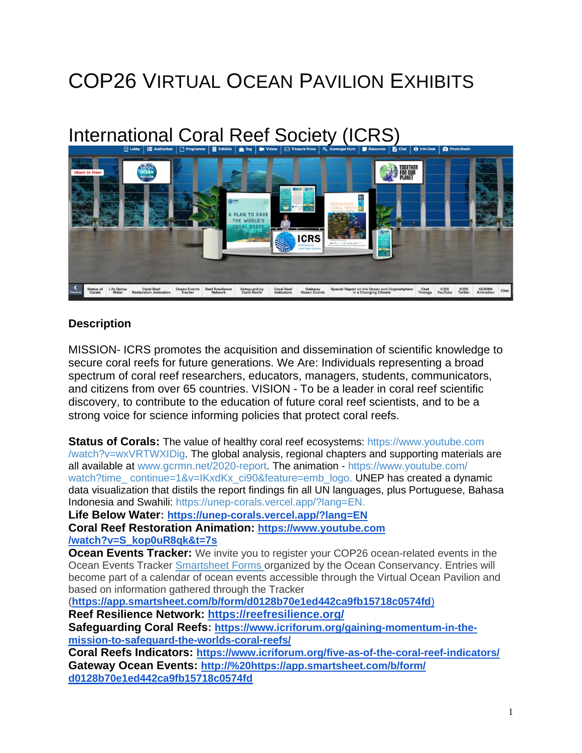# COP26 VIRTUAL OCEAN PAVILION EXHIBITS

# International Coral Reef Society (ICRS)



#### **Description**

MISSION- ICRS promotes the acquisition and dissemination of scientific knowledge to secure coral reefs for future generations. We Are: Individuals representing a broad spectrum of coral reef researchers, educators, managers, students, communicators, and citizens from over 65 countries. VISION - To be a leader in coral reef scientific discovery, to contribute to the education of future coral reef scientists, and to be a strong voice for science informing policies that protect coral reefs.

**Status of Corals:** The value of healthy coral reef ecosystems: [https://www.youtube.com](https://nam04.safelinks.protection.outlook.com/?url=https%253A%252F%252Fwww.youtube.com%252Fwatch%253Fv%253DwxVRTWXIDig&data=04%257C01%257Ctory.chase%2540villanova.edu%257C342083e6e8fb4ebd746708d994aa5722%257C765a8de5cf9444f09cafae5bf8cfa366%257C0%257C0%257C637704282946605962%257CUnknown%257CTWFpbGZsb3d8eyJWIjoiMC4wLjAwMDAiLCJQIjoiV2luMzIiLCJBTiI6Ik1haWwiLCJXVCI6Mn0%253D%257C3000&sdata=3zBwX9h7eSHy6j8RstFH%252B1%252FrdIaT%252BK4OqbNIQGoegbk%253D&reserved=0) [/watch?v=wxVRTWXIDig.](https://nam04.safelinks.protection.outlook.com/?url=https%253A%252F%252Fwww.youtube.com%252Fwatch%253Fv%253DwxVRTWXIDig&data=04%257C01%257Ctory.chase%2540villanova.edu%257C342083e6e8fb4ebd746708d994aa5722%257C765a8de5cf9444f09cafae5bf8cfa366%257C0%257C0%257C637704282946605962%257CUnknown%257CTWFpbGZsb3d8eyJWIjoiMC4wLjAwMDAiLCJQIjoiV2luMzIiLCJBTiI6Ik1haWwiLCJXVCI6Mn0%253D%257C3000&sdata=3zBwX9h7eSHy6j8RstFH%252B1%252FrdIaT%252BK4OqbNIQGoegbk%253D&reserved=0) The global analysis, regional chapters and supporting materials are all available at [www.gcrmn.net/2020-report.](https://nam04.safelinks.protection.outlook.com/?url=http%253A%252F%252Fwww.gcrmn.net%252F2020-report&data=04%257C01%257Ctory.chase%2540villanova.edu%257C342083e6e8fb4ebd746708d994aa5722%257C765a8de5cf9444f09cafae5bf8cfa366%257C0%257C0%257C637704282946615915%257CUnknown%257CTWFpbGZsb3d8eyJWIjoiMC4wLjAwMDAiLCJQIjoiV2luMzIiLCJBTiI6Ik1haWwiLCJXVCI6Mn0%253D%257C3000&sdata=MleWkvJEf0oaGh6IU2uTdZjIHf1YsUM3J2Hho1zb9Vk%253D&reserved=0) The animation - [https://www.youtube.com/](https://nam04.safelinks.protection.outlook.com/?url=https%253A%252F%252Fwww.youtube.com%252Fwatch%253Ftime_continue%253D1%2526v%253DIKxdKx_ci90%2526feature%253Demb_logo&data=04%257C01%257Ctory.chase%2540villanova.edu%257C342083e6e8fb4ebd746708d994aa5722%257C765a8de5cf9444f09cafae5bf8cfa366%257C0%257C0%257C637704282946625883%257CUnknown%257CTWFpbGZsb3d8eyJWIjoiMC4wLjAwMDAiLCJQIjoiV2luMzIiLCJBTiI6Ik1haWwiLCJXVCI6Mn0%253D%257C3000&sdata=CfnCPKOn6tIXt6wclzWfh7zfb6231MuMny8psxGtps8%253D&reserved=0) watch?time\_[continue=1&v=IKxdKx\\_ci90&feature=emb\\_logo.](https://nam04.safelinks.protection.outlook.com/?url=https%253A%252F%252Fwww.youtube.com%252Fwatch%253Ftime_continue%253D1%2526v%253DIKxdKx_ci90%2526feature%253Demb_logo&data=04%257C01%257Ctory.chase%2540villanova.edu%257C342083e6e8fb4ebd746708d994aa5722%257C765a8de5cf9444f09cafae5bf8cfa366%257C0%257C0%257C637704282946625883%257CUnknown%257CTWFpbGZsb3d8eyJWIjoiMC4wLjAwMDAiLCJQIjoiV2luMzIiLCJBTiI6Ik1haWwiLCJXVCI6Mn0%253D%257C3000&sdata=CfnCPKOn6tIXt6wclzWfh7zfb6231MuMny8psxGtps8%253D&reserved=0) UNEP has created a dynamic data visualization that distils the report findings fin all UN languages, plus Portuguese, Bahasa Indonesia and Swahili: [https://unep-corals.vercel.app/?lang=EN.](https://nam04.safelinks.protection.outlook.com/?url=https%253A%252F%252Funep-corals.vercel.app%252F%253Flang%253DEN&data=04%257C01%257Ctory.chase%2540villanova.edu%257C342083e6e8fb4ebd746708d994aa5722%257C765a8de5cf9444f09cafae5bf8cfa366%257C0%257C0%257C637704282946625883%257CUnknown%257CTWFpbGZsb3d8eyJWIjoiMC4wLjAwMDAiLCJQIjoiV2luMzIiLCJBTiI6Ik1haWwiLCJXVCI6Mn0%253D%257C3000&sdata=d8Dmj1MFOvBKWEYba9hYNEzvjpRxr0bVFhq3XYGe4%252B4%253D&reserved=0)

**Life Below Water: <https://unep-corals.vercel.app/?lang=EN>**

**Coral Reef Restoration Animation: [https://www.youtube.com](https://www.youtube.com/watch?v=S_kop0uR8qk&t=7s) [/watch?v=S\\_kop0uR8qk&t=7s](https://www.youtube.com/watch?v=S_kop0uR8qk&t=7s)**

**Ocean Events Tracker:** We invite you to register your COP26 ocean-related events in the Ocean Events Tracker [Smartsheet](https://nam04.safelinks.protection.outlook.com/?url=https%253A%252F%252Fbit.ly%252F39whoXq&data=04%257C01%257Ctory.chase%2540villanova.edu%257Cb723d32b23814d9427fb08d99548751f%257C765a8de5cf9444f09cafae5bf8cfa366%257C0%257C0%257C637704960718360802%257CUnknown%257CTWFpbGZsb3d8eyJWIjoiMC4wLjAwMDAiLCJQIjoiV2luMzIiLCJBTiI6Ik1haWwiLCJXVCI6Mn0%253D%257C1000&sdata=jkaqhj%252BCVCKquxZa5usSnR241HCMVXivqJKoR43cgfM%253D&reserved=0) Forms organized by the Ocean Conservancy. Entries will become part of a calendar of ocean events accessible through the Virtual Ocean Pavilion and based on information gathered through the Tracker

(**[https://app.smartsheet.com/b/form/d0128b70e1ed442ca9fb15718c0574fd](https://nam04.safelinks.protection.outlook.com/?url=https%253A%252F%252Fapp.smartsheet.com%252Fb%252Fform%252Fd0128b70e1ed442ca9fb15718c0574fd&data=04%257C01%257Ctory.chase%2540villanova.edu%257Cb723d32b23814d9427fb08d99548751f%257C765a8de5cf9444f09cafae5bf8cfa366%257C0%257C0%257C637704960718370756%257CUnknown%257CTWFpbGZsb3d8eyJWIjoiMC4wLjAwMDAiLCJQIjoiV2luMzIiLCJBTiI6Ik1haWwiLCJXVCI6Mn0%253D%257C1000&sdata=fdKiiM1oMVL5O%252FJJcdgh3F34Rx5CAzzvnZznbOt4g0s%253D&reserved=0)**)

**Reef Resilience Network: <https://reefresilience.org/>**

**Safeguarding Coral Reefs: [https://www.icriforum.org/gaining-momentum-in-the](https://www.icriforum.org/gaining-momentum-in-the-mission-to-safeguard-the-worlds-coral-reefs/)[mission-to-safeguard-the-worlds-coral-reefs/](https://www.icriforum.org/gaining-momentum-in-the-mission-to-safeguard-the-worlds-coral-reefs/)**

**Coral Reefs Indicators: <https://www.icriforum.org/five-as-of-the-coral-reef-indicators/> Gateway Ocean Events: http://%20https://app.smartsheet.com/b/form/ d0128b70e1ed442ca9fb15718c0574fd**